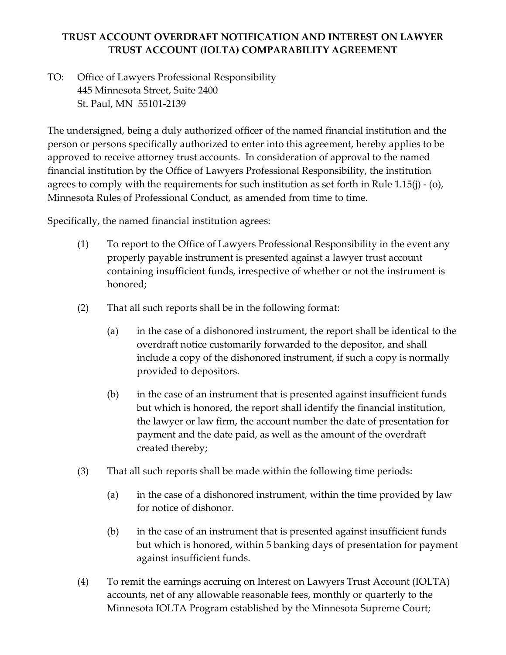## **TRUST ACCOUNT OVERDRAFT NOTIFICATION AND INTEREST ON LAWYER TRUST ACCOUNT (IOLTA) COMPARABILITY AGREEMENT**

TO: Office of Lawyers Professional Responsibility 445 Minnesota Street, Suite 2400 St. Paul, MN 55101-2139

The undersigned, being a duly authorized officer of the named financial institution and the person or persons specifically authorized to enter into this agreement, hereby applies to be approved to receive attorney trust accounts. In consideration of approval to the named financial institution by the Office of Lawyers Professional Responsibility, the institution agrees to comply with the requirements for such institution as set forth in Rule 1.15(j) - (o), Minnesota Rules of Professional Conduct, as amended from time to time.

Specifically, the named financial institution agrees:

- (1) To report to the Office of Lawyers Professional Responsibility in the event any properly payable instrument is presented against a lawyer trust account containing insufficient funds, irrespective of whether or not the instrument is honored;
- (2) That all such reports shall be in the following format:
	- (a) in the case of a dishonored instrument, the report shall be identical to the overdraft notice customarily forwarded to the depositor, and shall include a copy of the dishonored instrument, if such a copy is normally provided to depositors.
	- (b) in the case of an instrument that is presented against insufficient funds but which is honored, the report shall identify the financial institution, the lawyer or law firm, the account number the date of presentation for payment and the date paid, as well as the amount of the overdraft created thereby;
- (3) That all such reports shall be made within the following time periods:
	- (a) in the case of a dishonored instrument, within the time provided by law for notice of dishonor.
	- (b) in the case of an instrument that is presented against insufficient funds but which is honored, within 5 banking days of presentation for payment against insufficient funds.
- (4) To remit the earnings accruing on Interest on Lawyers Trust Account (IOLTA) accounts, net of any allowable reasonable fees, monthly or quarterly to the Minnesota IOLTA Program established by the Minnesota Supreme Court;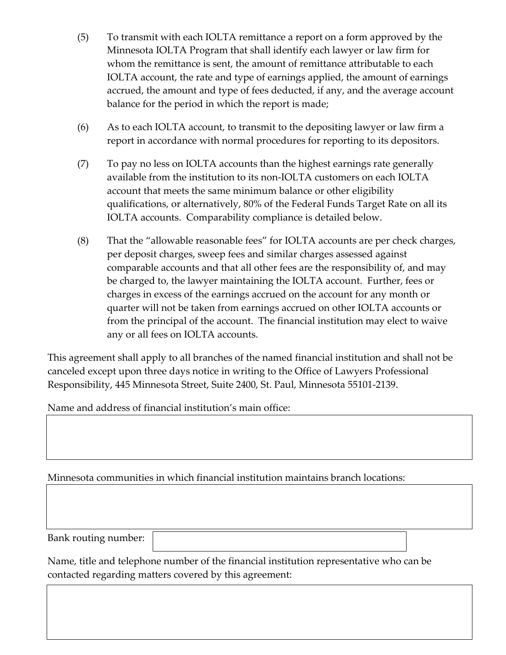- (5) To transmit with each IOLTA remittance a report on a form approved by the Minnesota IOLTA Program that shall identify each lawyer or law firm for whom the remittance is sent, the amount of remittance attributable to each IOLTA account, the rate and type of earnings applied, the amount of earnings accrued, the amount and type of fees deducted, if any, and the average account balance for the period in which the report is made;
- (6) As to each IOLTA account, to transmit to the depositing lawyer or law firm a report in accordance with normal procedures for reporting to its depositors.
- (7) To pay no less on IOLTA accounts than the highest earnings rate generally available from the institution to its non-IOLTA customers on each IOLTA account that meets the same minimum balance or other eligibility qualifications, or alternatively, 80% of the Federal Funds Target Rate on all its IOLTA accounts. Comparability compliance is detailed below.
- (8) That the "allowable reasonable fees" for IOLTA accounts are per check charges, per deposit charges, sweep fees and similar charges assessed against comparable accounts and that all other fees are the responsibility of, and may be charged to, the lawyer maintaining the IOLTA account. Further, fees or charges in excess of the earnings accrued on the account for any month or quarter will not be taken from earnings accrued on other IOLTA accounts or from the principal of the account. The financial institution may elect to waive any or all fees on IOLTA accounts.

This agreement shall apply to all branches of the named financial institution and shall not be canceled except upon three days notice in writing to the Office of Lawyers Professional Responsibility, 445 Minnesota Street, Suite 2400, St. Paul, Minnesota 55101-2139.

Name and address of financial institution's main office:

Minnesota communities in which financial institution maintains branch locations:

Bank routing number:

Name, title and telephone number of the financial institution representative who can be contacted regarding matters covered by this agreement: